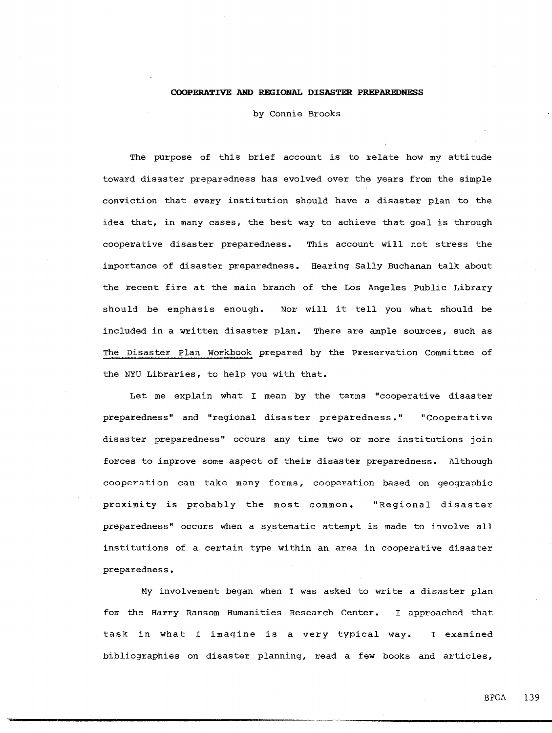## **COOPERATIVE AND REGIONAL DISASTER PREPAREDNESS**

by Connie Brooks

The purpose of this brief account is to relate how my attitude toward disaster preparedness has evolved over the years from the simple conviction that every institution should have a disaster plan to the idea that, in many cases, the best way to achieve that goal is through cooperative disaster preparedness. This account will not stress the importance of disaster preparedness. Hearing Sally Buchanan talk about the recent fire at the main branch of the Los Angeles Public Library should be emphasis enough. Nor will it tell you what should be included in a written disaster plan. There are ample sources, such as The Disaster Plan Workbook prepared by the Preservation Committee of the NYU Libraries, to help you with that.

Let me explain what I mean by the terms "cooperative disaster preparedness" and "regional disaster preparedness." "Cooperative disaster preparedness" occurs any time two or more institutions join forces to improve some aspect of their disaster preparedness. Although cooperation can take many forms, cooperation based on geographic proximity is probably the most common. "Regional disaster preparedness" occurs when a systematic attempt is made to involve all institutions of a certain type within an area in cooperative disaster preparedness.

My involvement began when I was asked to write a disaster plan for the Harry Ransom Humanities Research Center. I approached that task in what I imagine is a very typical way. I examined bibliographies on disaster planning, read a few books and articles,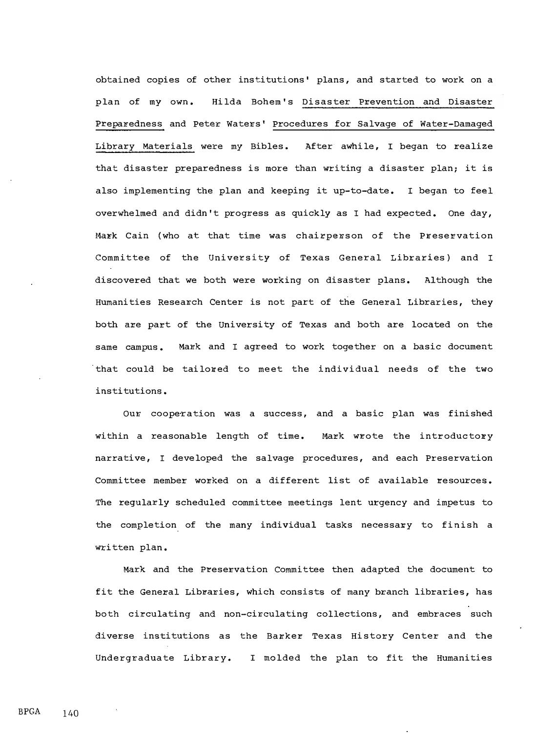obtained copies of other institutions' plans, and started to work on a plan of my own. Hilda Bohem's Disaster Prevention and Disaster Preparedness and Peter Waters' Procedures for Salvage of Water-Damaged Library Materials were my Bibles. After awhile, I began to realize that disaster preparedness is more than writing a disaster plan; it is also implementing the plan and keeping it up-to-date. I began to feel overwhelmed and didn't progress as quickly as I had expected. One day, Mark Cain (who at that time was chairperson of the Preservation Committee of the University of Texas General Libraries) and I discovered that we both were working on disaster plans. Although the Humanities Research Center is not part of the General Libraries, they both are part of the University of Texas and both are located on the same campus. Mark and I agreed to work together on a basic document that could be tailored to meet the individual needs of the two institutions.

Our cooperation was a success, and a basic plan was finished within a reasonable length of time. Mark wrote the introductory narrative, I developed the salvage procedures, and each Preservation Committee member worked on a different list of available resources. The regularly scheduled committee meetings lent urgency and impetus to the completion of the many individual tasks necessary to finish a written plan.

Mark and the Preservation Committee then adapted the document to fit the General Libraries, which consists of many branch libraries, has both circulating and non-circulating collections, and embraces such diverse institutions as the Barker Texas History Center and the Undergraduate Library. I molded the plan to fit the Humanities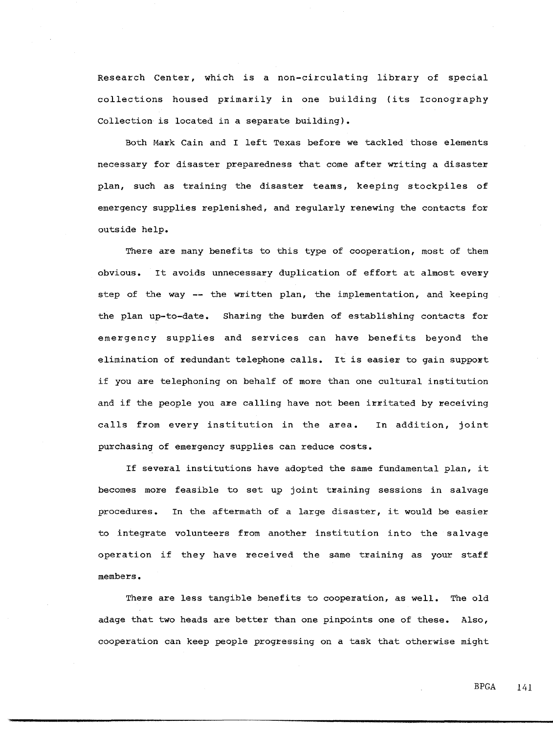Research Center, which is a non-circulating library of special collections housed primarily in one building (its Iconography Collection is located in a separate building).

Both Mark Cain and I left Texas before we tackled those elements necessary for disaster preparedness that come after writing a disaster plan, such as training the disaster teams, keeping stockpiles of emergency supplies replenished, and regularly renewing the contacts for outside help.

There are many benefits to this type of cooperation, most of them obvious. It avoids unnecessary duplication of effort at almost every step of the way -- the written plan, the implementation, and keeping the plan up-to-date. Sharing the burden of establishing contacts for emergency supplies and services can have benefits beyond the elimination of redundant telephone calls. It is easier to gain support if you are telephoning on behalf of more than one cultural institution and if the people you are calling have not been irritated by receiving calls from every institution in the area. In addition, joint purchasing of emergency supplies can reduce costs.

If several institutions have adopted the same fundamental plan, it becomes more feasible to set up joint training sessions in salvage procedures. In the aftermath of a large disaster, it would be easier to integrate volunteers from another institution into the salvage operation if they have received the same training as your staff members.

There are less tangible benefits to cooperation, as well. The old adage that two heads are better than one pinpoints one of these. Also, cooperation can keep people progressing on a task that otherwise might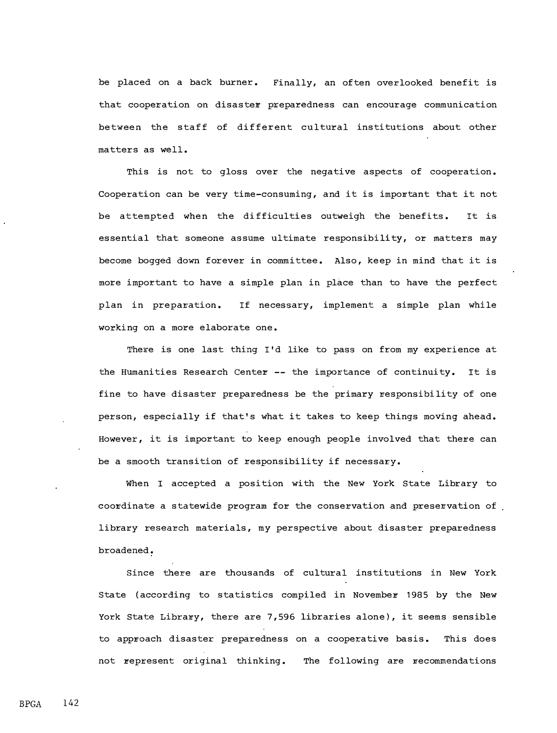be placed on a back burner. Finally, an often overlooked benefit is that cooperation on disaster preparedness can encourage communication between the staff of different cultural institutions about other matters as well.

This is not to gloss over the negative aspects of cooperation. Cooperation can be very time-consuming, and it is important that it not be attempted when the difficulties outweigh the benefits. It is essential that someone assume ultimate responsibility, or matters may become bogged down forever in committee. Also, keep in mind that it is more important to have a simple plan in place than to have the perfect plan in preparation. If necessary, implement a simple plan while working on a more elaborate one.

There is one last thing I'd like to pass on from my experience at the Humanities Research Center -- the importance of continuity. It is fine to have disaster preparedness be the primary responsibility of one person, especially if that's what it takes to keep things moving ahead. However, it is important to keep enough people involved that there can be a smooth transition of responsibility if necessary.

When I accepted a position with the New York State Library to coo�dinate a statewide program for the conservation and preservation of library research materials, my perspective about disaster preparedness broadened.

Since there are thousands of cultural institutions in New York State (according to statistics compiled in November 1985 by the New York State Library, there are 7,596 libraries alone), it seems sensible to approach disaster preparedness on a cooperative basis. This does not represent original thinking. The following are recommendations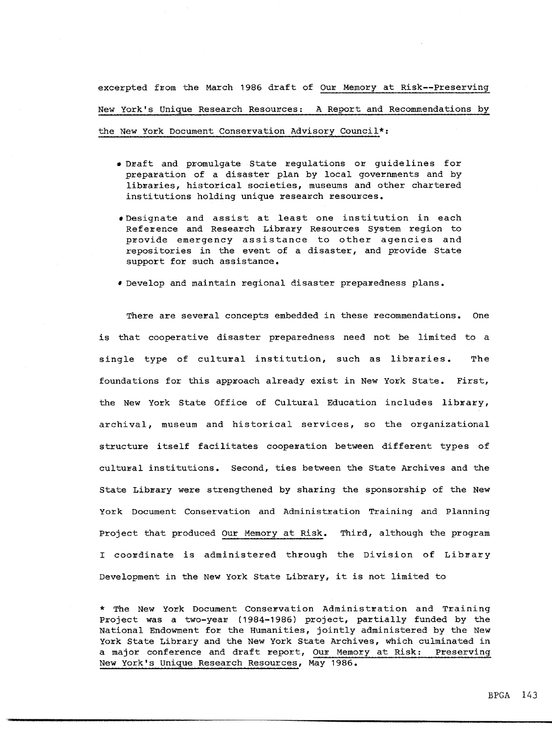excerpted from the March 1986 draft of Our Memory at Risk--Preserving New York's Unique Research Resources: A Report and Recommendations by

the New York Document Conservation Advisory Council\*:

- Draft and promulgate State regulations or guidelines for preparation of a disaster plan by local governments and by libraries, historical societies, museums and other chartered institutions holding unique research resources.
- Designate and assist at least one institution in each Reference and Research Library Resources System region to provide emergency assistance to other agencies and repositories in the event of a disaster, and provide State support for such assistance.
- . Develop and maintain regional disaster preparedness plans.

There are several concepts embedded in these recommendations. One is that cooperative disaster preparedness need not be limited to a single type of cultural institution, such as libraries. The foundations for this approach already exist in New York State. First, the New York State Office of Cultural Education includes library, archival, museum and historical services, so the organizational structure itself facilitates cooperation between different types of cultural institutions. Second, ties between the State Archives and the State Library were strengthened by sharing the sponsorship of the New York Document Conservation and Administration Training and Planning Project that produced Our Memory at Risk. Third, although the program I coordinate is administered through the Division of Library Development in the New York State Library, it is not limited to

\* The New York Document Conservation Administration and Training Project was a two-year (1984-1986) project, partially funded by the National Endowment for the Humanities, jointly administered by the New York State Library and the New York State Archives, which culminated in a major conference and draft report, Our Memory at Risk: Preserving New York's Unique Research Resources, May 1986.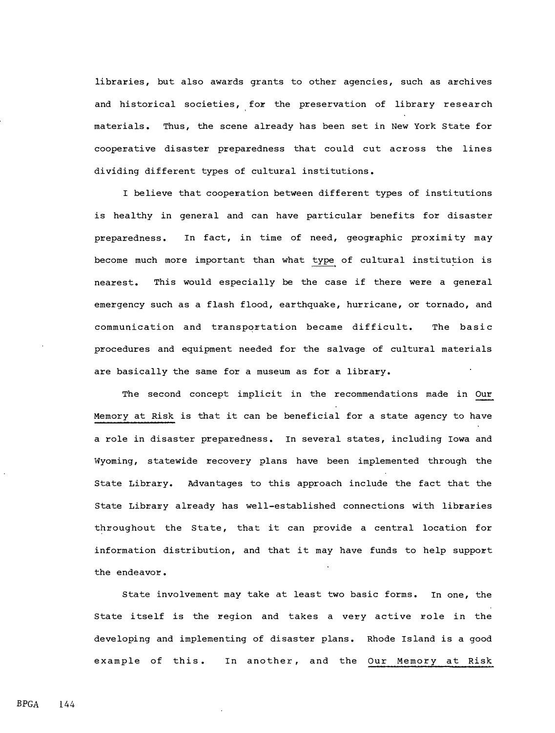libraries, but also awards grants to other agencies, such as archives and historical societies, for the preservation of library research materials. Thus, the scene already has been set in New York State for cooperative disaster preparedness that could cut across the lines dividing different types of cultural institutions.

I believe that cooperation between different types of institutions is healthy in general and can have particular benefits for disaster preparedness. In fact, in time of need, geographic proximity may become much more important than what type of cultural institution is nearest. This would especially be the case if there were a general emergency such as a flash flood, earthquake, hurricane, or tornado, and communication and transportation became difficult. The basic procedures and equipment needed for the salvage of cultural materials are basically the same for a museum as for a library.

The second concept implicit in the recommendations made in Our Memory at Risk is that it can be beneficial for a state agency to have a role in disaster preparedness. In several states, including Iowa and Wyoming, statewide recovery plans have been implemented through the State Library. Advantages to this approach include the fact that the State Library already has well-established connections with libraries throughout the State, that it can provide a central location for information distribution, and that it may have funds to help support the endeavor.

state involvement may take at least two basic forms. In one, the State itself is the region and takes a very active role in the developing and implementing of disaster plans. Rhode Island is a good example of this. In another, and the Our Memory at Risk